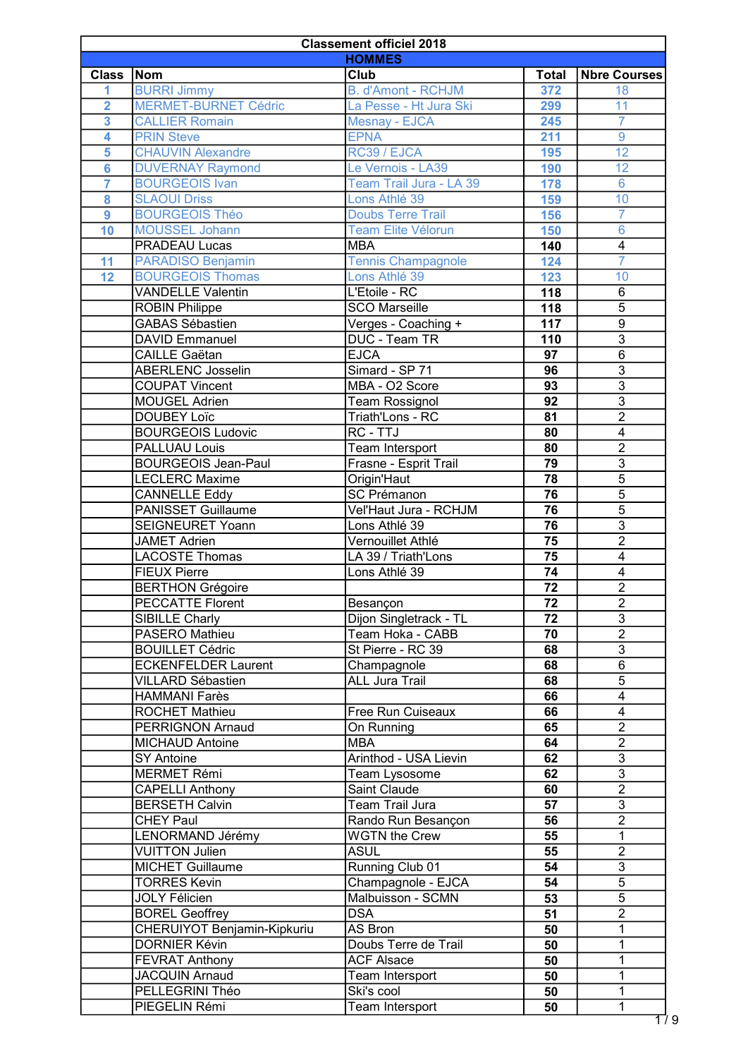| <b>Classement officiel 2018</b> |                             |                           |                 |                         |
|---------------------------------|-----------------------------|---------------------------|-----------------|-------------------------|
|                                 |                             | <b>HOMMES</b>             |                 |                         |
| <b>Class</b>                    | Nom                         | Club                      | <b>Total</b>    | <b>Nbre Courses</b>     |
| 1                               | <b>BURRI Jimmy</b>          | <b>B.</b> d'Amont - RCHJM | 372             | 18                      |
| $\overline{\mathbf{2}}$         | <b>MERMET-BURNET Cédric</b> | La Pesse - Ht Jura Ski    | 299             | 11                      |
| $\overline{3}$                  | <b>CALLIER Romain</b>       | Mesnay - EJCA             | 245             | $\overline{7}$          |
| $\overline{\mathbf{4}}$         | <b>PRIN Steve</b>           | <b>EPNA</b>               | 211             | 9                       |
| $\overline{\mathbf{5}}$         | <b>CHAUVIN Alexandre</b>    | RC39 / EJCA               | 195             | 12                      |
| $6\phantom{a}6$                 | <b>DUVERNAY Raymond</b>     | Le Vernois - LA39         | 190             | 12                      |
| $\overline{7}$                  | <b>BOURGEOIS Ivan</b>       | Team Trail Jura - LA 39   | 178             | $6\phantom{a}$          |
| 8                               | <b>SLAOUI Driss</b>         | Lons Athlé 39             | 159             | 10                      |
| $\overline{9}$                  | <b>BOURGEOIS Théo</b>       | <b>Doubs Terre Trail</b>  | 156             | $\overline{7}$          |
| 10                              | <b>MOUSSEL Johann</b>       | <b>Team Elite Vélorun</b> | 150             | $\overline{6}$          |
|                                 | PRADEAU Lucas               | <b>MBA</b>                | 140             | $\overline{4}$          |
|                                 | <b>PARADISO Benjamin</b>    |                           | 124             | $\overline{7}$          |
| 11                              |                             | <b>Tennis Champagnole</b> |                 |                         |
| 12                              | <b>BOURGEOIS Thomas</b>     | Lons Athlé 39             | 123             | 10                      |
|                                 | <b>VANDELLE Valentin</b>    | L'Etoile - RC             | 118             | 6                       |
|                                 | <b>ROBIN Philippe</b>       | <b>SCO Marseille</b>      | 118             | $\overline{5}$          |
|                                 | <b>GABAS Sébastien</b>      | Verges - Coaching +       | 117             | $\overline{9}$          |
|                                 | <b>DAVID Emmanuel</b>       | DUC - Team TR             | 110             | $\overline{3}$          |
|                                 | <b>CAILLE</b> Gaëtan        | <b>EJCA</b>               | 97              | $\overline{6}$          |
|                                 | <b>ABERLENC Josselin</b>    | Simard - SP 71            | 96              | $\overline{3}$          |
|                                 | <b>COUPAT Vincent</b>       | MBA - O2 Score            | 93              | $\overline{3}$          |
|                                 | <b>MOUGEL Adrien</b>        | <b>Team Rossignol</b>     | $\overline{92}$ | $\overline{3}$          |
|                                 | <b>DOUBEY Loïc</b>          | Triath'Lons - RC          | 81              | $\overline{2}$          |
|                                 | <b>BOURGEOIS Ludovic</b>    | RC - TTJ                  | 80              | $\overline{4}$          |
|                                 | PALLUAU Louis               | Team Intersport           | 80              | $\overline{2}$          |
|                                 | <b>BOURGEOIS Jean-Paul</b>  | Frasne - Esprit Trail     | 79              | $\overline{3}$          |
|                                 | <b>LECLERC Maxime</b>       | Origin'Haut               | 78              | $\overline{5}$          |
|                                 | <b>CANNELLE Eddy</b>        | <b>SC Prémanon</b>        | 76              | $\overline{5}$          |
|                                 | <b>PANISSET Guillaume</b>   | Vel'Haut Jura - RCHJM     | 76              | $\overline{5}$          |
|                                 | <b>SEIGNEURET Yoann</b>     | Lons Athlé 39             | 76              | $\overline{3}$          |
|                                 | <b>JAMET Adrien</b>         | Vernouillet Athlé         | 75              | $\overline{2}$          |
|                                 | <b>LACOSTE Thomas</b>       | LA 39 / Triath'Lons       | 75              | 4                       |
|                                 | <b>FIEUX Pierre</b>         | Lons Athlé 39             | 74              | $\overline{4}$          |
|                                 | <b>BERTHON Grégoire</b>     |                           | 72              | $\overline{2}$          |
|                                 | <b>PECCATTE Florent</b>     | Besançon                  | 72              | $\overline{2}$          |
|                                 |                             | Dijon Singletrack - TL    | 72              | $\overline{3}$          |
|                                 | SIBILLE Charly              |                           | 70              | $\overline{2}$          |
|                                 | PASERO Mathieu              | Team Hoka - CABB          |                 | $\overline{3}$          |
|                                 | <b>BOUILLET Cédric</b>      | St Pierre - RC 39         | 68              |                         |
|                                 | <b>ECKENFELDER Laurent</b>  | Champagnole               | 68              | $\overline{6}$          |
|                                 | VILLARD Sébastien           | <b>ALL Jura Trail</b>     | 68              | $\overline{5}$          |
|                                 | <b>HAMMANI Farès</b>        |                           | 66              | $\overline{4}$          |
|                                 | <b>ROCHET Mathieu</b>       | Free Run Cuiseaux         | 66              | $\overline{\mathbf{4}}$ |
|                                 | PERRIGNON Arnaud            | On Running                | 65              | $\overline{2}$          |
|                                 | <b>MICHAUD Antoine</b>      | <b>MBA</b>                | 64              | $\overline{2}$          |
|                                 | SY Antoine                  | Arinthod - USA Lievin     | 62              | 3                       |
|                                 | <b>MERMET Rémi</b>          | Team Lysosome             | 62              | $\overline{3}$          |
|                                 | <b>CAPELLI Anthony</b>      | Saint Claude              | 60              | $\overline{2}$          |
|                                 | <b>BERSETH Calvin</b>       | Team Trail Jura           | 57              | $\overline{3}$          |
|                                 | <b>CHEY Paul</b>            | Rando Run Besançon        | 56              | $\overline{2}$          |
|                                 | LENORMAND Jérémy            | <b>WGTN the Crew</b>      | 55              | $\mathbf{1}$            |
|                                 | <b>VUITTON Julien</b>       | <b>ASUL</b>               | 55              | $\overline{2}$          |
|                                 | <b>MICHET Guillaume</b>     | Running Club 01           | 54              | $\overline{3}$          |
|                                 | <b>TORRES Kevin</b>         | Champagnole - EJCA        | 54              | $\overline{5}$          |
|                                 | <b>JOLY Félicien</b>        | Malbuisson - SCMN         | 53              | $\overline{5}$          |
|                                 | <b>BOREL Geoffrey</b>       | <b>DSA</b>                | 51              | $\overline{2}$          |
|                                 | CHERUIYOT Benjamin-Kipkuriu | AS Bron                   | 50              | 1                       |
|                                 | <b>DORNIER Kévin</b>        | Doubs Terre de Trail      | 50              | 1                       |
|                                 | <b>FEVRAT Anthony</b>       | <b>ACF Alsace</b>         | 50              | 1                       |
|                                 | <b>JACQUIN Arnaud</b>       | Team Intersport           | 50              | 1                       |
|                                 | PELLEGRINI Théo             | Ski's cool                | 50              | 1                       |
|                                 | PIEGELIN Rémi               | <b>Team Intersport</b>    | 50              | $\mathbf{1}$            |
|                                 |                             |                           |                 |                         |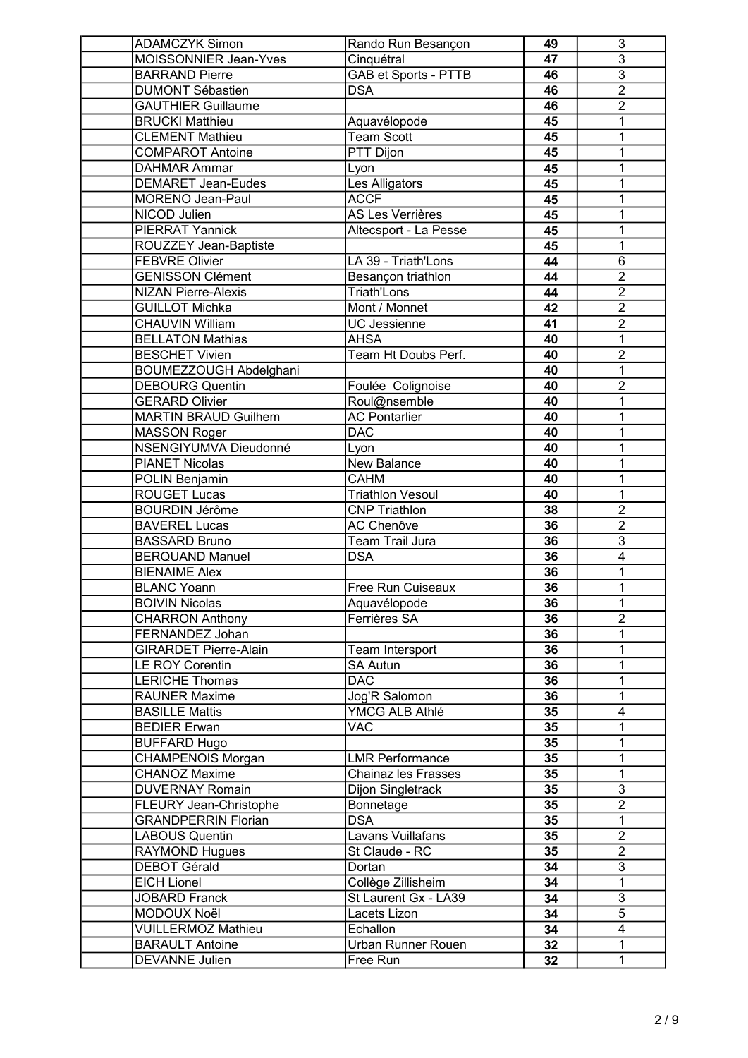| <b>ADAMCZYK Simon</b>         | Rando Run Besançon          | 49              | 3              |
|-------------------------------|-----------------------------|-----------------|----------------|
| MOISSONNIER Jean-Yves         | Cinquétral                  | 47              | $\overline{3}$ |
| <b>BARRAND Pierre</b>         | <b>GAB et Sports - PTTB</b> | 46              | $\overline{3}$ |
| <b>DUMONT Sébastien</b>       | <b>DSA</b>                  | 46              | $\overline{2}$ |
| <b>GAUTHIER Guillaume</b>     |                             | 46              | $\overline{2}$ |
| <b>BRUCKI Matthieu</b>        | Aquavélopode                | 45              | 1              |
| <b>CLEMENT Mathieu</b>        | Team Scott                  | 45              | 1              |
| <b>COMPAROT Antoine</b>       | PTT Dijon                   | 45              | 1              |
| <b>DAHMAR Ammar</b>           | Lyon                        | 45              | 1              |
| <b>DEMARET Jean-Eudes</b>     | Les Alligators              | 45              | 1              |
| <b>MORENO Jean-Paul</b>       | <b>ACCF</b>                 | 45              | 1              |
| NICOD Julien                  | <b>AS Les Verrières</b>     | 45              | 1              |
| <b>PIERRAT Yannick</b>        | Altecsport - La Pesse       | 45              | 1              |
| ROUZZEY Jean-Baptiste         |                             | 45              | 1              |
| <b>FEBVRE Olivier</b>         | LA 39 - Triath'Lons         | 44              | 6              |
| <b>GENISSON Clément</b>       | Besançon triathlon          | 44              | $\overline{2}$ |
| <b>NIZAN Pierre-Alexis</b>    | <b>Triath'Lons</b>          | 44              | $\overline{2}$ |
| <b>GUILLOT Michka</b>         | Mont / Monnet               | 42              | $\overline{2}$ |
|                               |                             |                 | $\overline{2}$ |
| <b>CHAUVIN William</b>        | <b>UC Jessienne</b>         | 41              |                |
| <b>BELLATON Mathias</b>       | <b>AHSA</b>                 | 40              | 1              |
| <b>BESCHET Vivien</b>         | Team Ht Doubs Perf.         | 40              | $\overline{2}$ |
| <b>BOUMEZZOUGH Abdelghani</b> |                             | 40              | 1              |
| <b>DEBOURG Quentin</b>        | Foulée Colignoise           | 40              | $\overline{2}$ |
| <b>GERARD Olivier</b>         | Roul@nsemble                | 40              | 1              |
| <b>MARTIN BRAUD Guilhem</b>   | <b>AC Pontarlier</b>        | 40              | 1              |
| <b>MASSON Roger</b>           | <b>DAC</b>                  | 40              | 1              |
| NSENGIYUMVA Dieudonné         | Lyon                        | 40              | 1              |
| <b>PIANET Nicolas</b>         | <b>New Balance</b>          | 40              | 1              |
| POLIN Benjamin                | <b>CAHM</b>                 | 40              | 1              |
| <b>ROUGET Lucas</b>           | <b>Triathlon Vesoul</b>     | 40              | 1              |
| <b>BOURDIN Jérôme</b>         | <b>CNP Triathlon</b>        | 38              | $\overline{2}$ |
| <b>BAVEREL Lucas</b>          | <b>AC Chenôve</b>           | 36              | $\overline{2}$ |
| <b>BASSARD Bruno</b>          | Team Trail Jura             | 36              | $\overline{3}$ |
| <b>BERQUAND Manuel</b>        | <b>DSA</b>                  | 36              | $\overline{4}$ |
| <b>BIENAIME Alex</b>          |                             | 36              | 1              |
| <b>BLANC Yoann</b>            | Free Run Cuiseaux           | 36              | 1              |
| <b>BOIVIN Nicolas</b>         | Aquavélopode                | 36              | 1              |
| <b>CHARRON Anthony</b>        | Ferrières SA                | 36              | $\overline{2}$ |
| FERNANDEZ Johan               |                             | 36              | 1              |
| <b>GIRARDET Pierre-Alain</b>  | Team Intersport             | 36              | 1              |
| <b>LE ROY Corentin</b>        | <b>SA Autun</b>             | 36              | 1              |
| <b>LERICHE Thomas</b>         | <b>DAC</b>                  | 36              | 1              |
| <b>RAUNER Maxime</b>          | Jog'R Salomon               | 36              | 1              |
| <b>BASILLE Mattis</b>         | YMCG ALB Athlé              | 35              | 4              |
| <b>BEDIER Erwan</b>           | <b>VAC</b>                  | 35              | 1              |
| <b>BUFFARD Hugo</b>           |                             | 35              | 1              |
| <b>CHAMPENOIS Morgan</b>      | <b>LMR Performance</b>      | 35              | 1              |
| <b>CHANOZ Maxime</b>          | <b>Chainaz les Frasses</b>  | 35              | 1              |
| <b>DUVERNAY Romain</b>        | Dijon Singletrack           | 35              | $\overline{3}$ |
| FLEURY Jean-Christophe        | Bonnetage                   | 35              | $\overline{2}$ |
| <b>GRANDPERRIN Florian</b>    | <b>DSA</b>                  | 35              | 1              |
| <b>LABOUS Quentin</b>         | Lavans Vuillafans           | 35              | $\overline{2}$ |
| RAYMOND Hugues                | St Claude - RC              | 35              | $\overline{2}$ |
| <b>DEBOT Gérald</b>           | Dortan                      | 34              | $\overline{3}$ |
| <b>EICH Lionel</b>            | Collège Zillisheim          | 34              | 1              |
| <b>JOBARD Franck</b>          | St Laurent Gx - LA39        | 34              | 3              |
| MODOUX Noël                   | Lacets Lizon                | 34              | $\overline{5}$ |
| <b>VUILLERMOZ Mathieu</b>     | Echallon                    | 34              | 4              |
| <b>BARAULT Antoine</b>        | Urban Runner Rouen          | 32 <sub>2</sub> | 1              |
|                               | Free Run                    | 32 <sub>2</sub> | $\mathbf{1}$   |
| <b>DEVANNE Julien</b>         |                             |                 |                |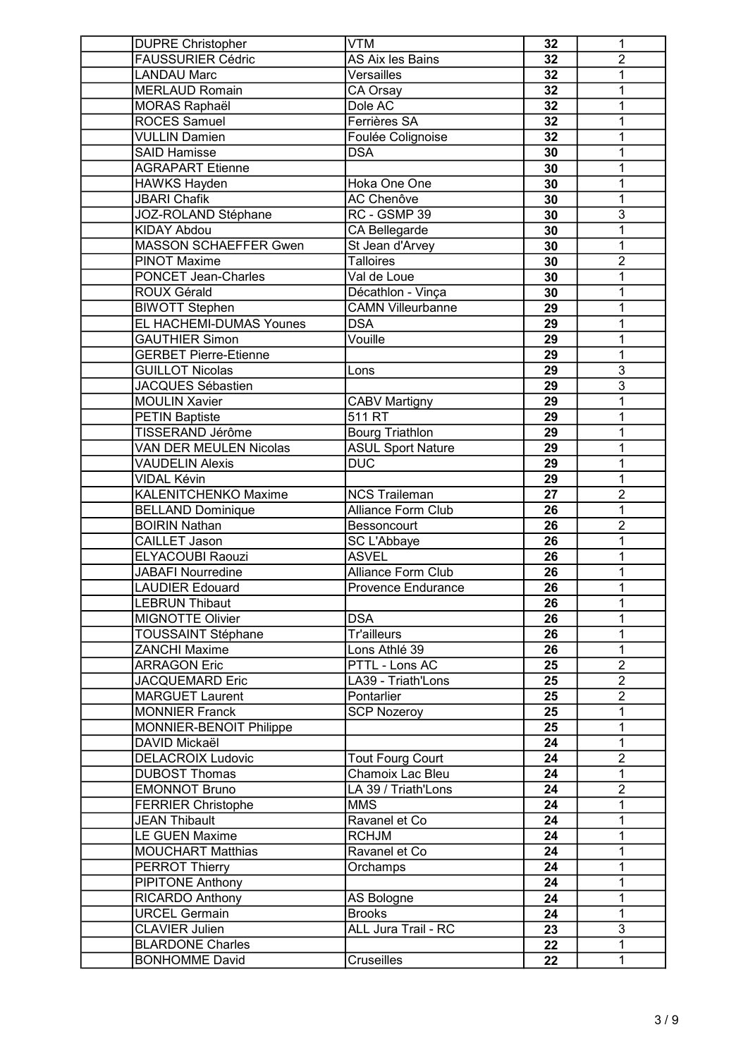| <b>DUPRE Christopher</b>      | <b>VTM</b>                                    | 32              | 1                         |
|-------------------------------|-----------------------------------------------|-----------------|---------------------------|
| <b>FAUSSURIER Cédric</b>      | AS Aix les Bains                              | 32              | $\overline{2}$            |
| <b>LANDAU Marc</b>            | Versailles                                    | 32              | 1                         |
| <b>MERLAUD Romain</b>         | CA Orsay                                      | 32              | 1                         |
| <b>MORAS Raphaël</b>          | Dole AC                                       | 32              | 1                         |
| <b>ROCES Samuel</b>           | Ferrières SA                                  | 32              | 1                         |
| <b>VULLIN Damien</b>          | Foulée Colignoise                             | 32              | 1                         |
| <b>SAID Hamisse</b>           | <b>DSA</b>                                    | 30              | 1                         |
| <b>AGRAPART Etienne</b>       |                                               | 30              | 1                         |
| <b>HAWKS Hayden</b>           | Hoka One One                                  | 30              | 1                         |
| <b>JBARI Chafik</b>           | <b>AC Chenôve</b>                             | 30              | 1                         |
| <b>JOZ-ROLAND Stéphane</b>    | RC - GSMP 39                                  | 30              | $\overline{3}$            |
| <b>KIDAY Abdou</b>            | CA Bellegarde                                 | 30              | 1                         |
| <b>MASSON SCHAEFFER Gwen</b>  | St Jean d'Arvey                               | 30              | 1                         |
| <b>PINOT Maxime</b>           | <b>Talloires</b>                              | 30              | $\overline{2}$            |
| <b>PONCET Jean-Charles</b>    | Val de Loue                                   | 30              | 1                         |
| <b>ROUX Gérald</b>            |                                               | 30              | 1                         |
|                               | Décathlon - Vinça<br><b>CAMN Villeurbanne</b> |                 |                           |
| <b>BIWOTT Stephen</b>         |                                               | 29              | 1                         |
| EL HACHEMI-DUMAS Younes       | <b>DSA</b>                                    | 29              | 1                         |
| <b>GAUTHIER Simon</b>         | Vouille                                       | 29              | 1                         |
| <b>GERBET Pierre-Etienne</b>  |                                               | 29              | 1                         |
| <b>GUILLOT Nicolas</b>        | Lons                                          | 29              | $\overline{3}$            |
| <b>JACQUES Sébastien</b>      |                                               | 29              | $\overline{\overline{3}}$ |
| <b>MOULIN Xavier</b>          | <b>CABV Martigny</b>                          | 29              | 1                         |
| <b>PETIN Baptiste</b>         | 511 RT                                        | 29              | 1                         |
| TISSERAND Jérôme              | <b>Bourg Triathlon</b>                        | 29              | 1                         |
| <b>VAN DER MEULEN Nicolas</b> | <b>ASUL Sport Nature</b>                      | 29              | 1                         |
| <b>VAUDELIN Alexis</b>        | <b>DUC</b>                                    | 29              | 1                         |
| <b>VIDAL Kévin</b>            |                                               | 29              | 1                         |
| <b>KALENITCHENKO Maxime</b>   | <b>NCS Traileman</b>                          | $\overline{27}$ | $\overline{2}$            |
| <b>BELLAND Dominique</b>      | Alliance Form Club                            | 26              | 1                         |
| <b>BOIRIN Nathan</b>          | Bessoncourt                                   | 26              | $\overline{2}$            |
| <b>CAILLET Jason</b>          | SC L'Abbaye                                   | 26              | 1                         |
| <b>ELYACOUBI Raouzi</b>       | <b>ASVEL</b>                                  | 26              | 1                         |
| <b>JABAFI Nourredine</b>      | <b>Alliance Form Club</b>                     | 26              | 1                         |
| <b>LAUDIER Edouard</b>        | <b>Provence Endurance</b>                     | 26              | 1                         |
| <b>LEBRUN Thibaut</b>         |                                               | 26              | 1                         |
| <b>MIGNOTTE Olivier</b>       | <b>DSA</b>                                    | 26              | 1                         |
| <b>TOUSSAINT Stéphane</b>     | <b>Tr'ailleurs</b>                            | 26              | 1                         |
| <b>ZANCHI Maxime</b>          | Lons Athlé 39                                 | 26              | 1                         |
| <b>ARRAGON Eric</b>           | PTTL - Lons AC                                | 25              | $\overline{2}$            |
| <b>JACQUEMARD Eric</b>        | LA39 - Triath'Lons                            | 25              | $\overline{2}$            |
| <b>MARGUET Laurent</b>        | Pontarlier                                    | 25              | $\overline{2}$            |
| <b>MONNIER Franck</b>         | <b>SCP Nozeroy</b>                            | 25              | 1                         |
| MONNIER-BENOIT Philippe       |                                               | 25              | 1                         |
| DAVID Mickaël                 |                                               | 24              | 1                         |
| <b>DELACROIX Ludovic</b>      | <b>Tout Fourg Court</b>                       | 24              | $\overline{2}$            |
| <b>DUBOST Thomas</b>          | Chamoix Lac Bleu                              | 24              | 1                         |
| <b>EMONNOT Bruno</b>          | LA 39 / Triath'Lons                           | 24              | $\overline{2}$            |
| <b>FERRIER Christophe</b>     | <b>MMS</b>                                    | 24              | 1                         |
| <b>JEAN Thibault</b>          | Ravanel et Co                                 | 24              | 1                         |
| <b>LE GUEN Maxime</b>         | <b>RCHJM</b>                                  | 24              | 1                         |
|                               | Ravanel et Co                                 |                 | 1                         |
| <b>MOUCHART Matthias</b>      |                                               | 24              | 1                         |
| <b>PERROT Thierry</b>         | Orchamps                                      | 24              |                           |
| PIPITONE Anthony              |                                               | 24              | 1                         |
| RICARDO Anthony               | AS Bologne                                    | 24              | 1                         |
| <b>URCEL Germain</b>          | <b>Brooks</b>                                 | 24              | $\mathbf{1}$              |
| <b>CLAVIER Julien</b>         | ALL Jura Trail - RC                           | 23              | $\overline{3}$            |
| <b>BLARDONE Charles</b>       |                                               | 22              | 1                         |
| <b>BONHOMME David</b>         | Cruseilles                                    | 22              | 1                         |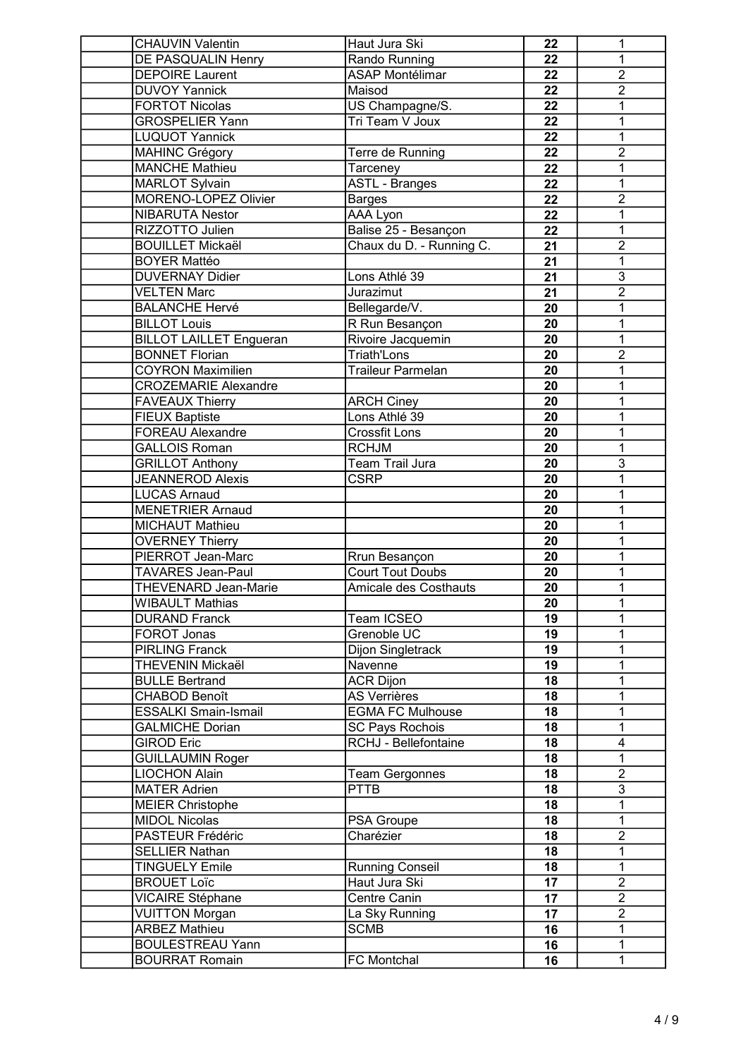| <b>CHAUVIN Valentin</b>                               | Haut Jura Ski                           | 22 | 1                         |
|-------------------------------------------------------|-----------------------------------------|----|---------------------------|
| DE PASQUALIN Henry                                    | Rando Running                           | 22 | 1                         |
| <b>DEPOIRE Laurent</b>                                | <b>ASAP Montélimar</b>                  | 22 | $\overline{2}$            |
| <b>DUVOY Yannick</b>                                  | Maisod                                  | 22 | $\overline{2}$            |
| <b>FORTOT Nicolas</b>                                 | US Champagne/S.                         | 22 | 1                         |
| <b>GROSPELIER Yann</b>                                | Tri Team V Joux                         | 22 | 1                         |
| <b>LUQUOT Yannick</b>                                 |                                         | 22 | 1                         |
| <b>MAHINC Grégory</b>                                 | Terre de Running                        | 22 | $\overline{2}$            |
| <b>MANCHE Mathieu</b>                                 | Tarceney                                | 22 | 1                         |
| <b>MARLOT Sylvain</b>                                 | <b>ASTL - Branges</b>                   | 22 | 1                         |
| <b>MORENO-LOPEZ Olivier</b>                           | <b>Barges</b>                           | 22 | $\overline{2}$            |
| <b>NIBARUTA Nestor</b>                                | AAA Lyon                                | 22 | 1                         |
| RIZZOTTO Julien                                       | Balise 25 - Besançon                    | 22 | 1                         |
| <b>BOUILLET Mickaël</b>                               | Chaux du D. - Running C.                | 21 | $\overline{2}$            |
| <b>BOYER Mattéo</b>                                   |                                         | 21 | $\overline{1}$            |
| <b>DUVERNAY Didier</b>                                | Lons Athlé 39                           | 21 | $\overline{3}$            |
| <b>VELTEN Marc</b>                                    | Jurazimut                               | 21 | $\overline{2}$            |
| <b>BALANCHE Hervé</b>                                 | Bellegarde/V.                           | 20 | 1                         |
|                                                       |                                         |    | 1                         |
| <b>BILLOT Louis</b><br><b>BILLOT LAILLET Engueran</b> | R Run Besançon                          | 20 | 1                         |
| <b>BONNET Florian</b>                                 | Rivoire Jacquemin<br><b>Triath'Lons</b> | 20 | $\overline{2}$            |
| <b>COYRON Maximilien</b>                              |                                         | 20 |                           |
|                                                       | Traileur Parmelan                       | 20 | 1                         |
| <b>CROZEMARIE Alexandre</b>                           |                                         | 20 | 1                         |
| <b>FAVEAUX Thierry</b>                                | <b>ARCH Ciney</b>                       | 20 | 1                         |
| <b>FIEUX Baptiste</b>                                 | Lons Athlé 39                           | 20 | 1                         |
| <b>FOREAU Alexandre</b>                               | <b>Crossfit Lons</b>                    | 20 | 1                         |
| <b>GALLOIS Roman</b>                                  | <b>RCHJM</b>                            | 20 | 1                         |
| <b>GRILLOT Anthony</b>                                | Team Trail Jura                         | 20 | $\overline{3}$            |
| <b>JEANNEROD Alexis</b>                               | <b>CSRP</b>                             | 20 | 1                         |
| <b>LUCAS Arnaud</b>                                   |                                         | 20 | 1                         |
| <b>MENETRIER Arnaud</b>                               |                                         | 20 | 1                         |
| MICHAUT Mathieu                                       |                                         | 20 | 1                         |
| <b>OVERNEY Thierry</b>                                |                                         | 20 | 1                         |
| PIERROT Jean-Marc                                     | Rrun Besançon                           | 20 | 1                         |
| <b>TAVARES Jean-Paul</b>                              | <b>Court Tout Doubs</b>                 | 20 | 1                         |
| THEVENARD Jean-Marie                                  | <b>Amicale des Costhauts</b>            | 20 | 1                         |
| WIBAULT Mathias                                       |                                         | 20 | $\mathbf{1}$              |
| <b>DURAND Franck</b>                                  | Team ICSEO                              | 19 | 1                         |
| FOROT Jonas                                           | Grenoble UC                             | 19 | 1                         |
| <b>PIRLING Franck</b>                                 | Dijon Singletrack                       | 19 | 1                         |
| THEVENIN Mickaël                                      | Navenne                                 | 19 | 1                         |
| <b>BULLE Bertrand</b>                                 | <b>ACR Dijon</b>                        | 18 | 1                         |
| <b>CHABOD Benoît</b>                                  | <b>AS Verrières</b>                     | 18 | 1                         |
| <b>ESSALKI Smain-Ismail</b>                           | <b>EGMA FC Mulhouse</b>                 | 18 | 1                         |
| <b>GALMICHE Dorian</b>                                | <b>SC Pays Rochois</b>                  | 18 | 1                         |
| <b>GIROD Eric</b>                                     | RCHJ - Bellefontaine                    | 18 | 4                         |
| <b>GUILLAUMIN Roger</b>                               |                                         | 18 | $\mathbf{1}$              |
| <b>LIOCHON Alain</b>                                  | <b>Team Gergonnes</b>                   | 18 | $\overline{2}$            |
| <b>MATER Adrien</b>                                   | <b>PTTB</b>                             | 18 | $\overline{\overline{3}}$ |
| <b>MEIER Christophe</b>                               |                                         | 18 | 1                         |
| <b>MIDOL Nicolas</b>                                  | PSA Groupe                              | 18 | 1                         |
| PASTEUR Frédéric                                      | Charézier                               | 18 | $\overline{2}$            |
| <b>SELLIER Nathan</b>                                 |                                         | 18 | 1                         |
| <b>TINGUELY Emile</b>                                 | <b>Running Conseil</b>                  | 18 | 1                         |
| <b>BROUET Loïc</b>                                    | Haut Jura Ski                           | 17 | $\overline{2}$            |
| <b>VICAIRE Stéphane</b>                               | Centre Canin                            | 17 | $\overline{2}$            |
| <b>VUITTON Morgan</b>                                 | La Sky Running                          | 17 | $\overline{2}$            |
| <b>ARBEZ Mathieu</b>                                  | <b>SCMB</b>                             | 16 | 1                         |
| <b>BOULESTREAU Yann</b>                               |                                         | 16 | 1                         |
| <b>BOURRAT Romain</b>                                 | <b>FC</b> Montchal                      | 16 | 1                         |
|                                                       |                                         |    |                           |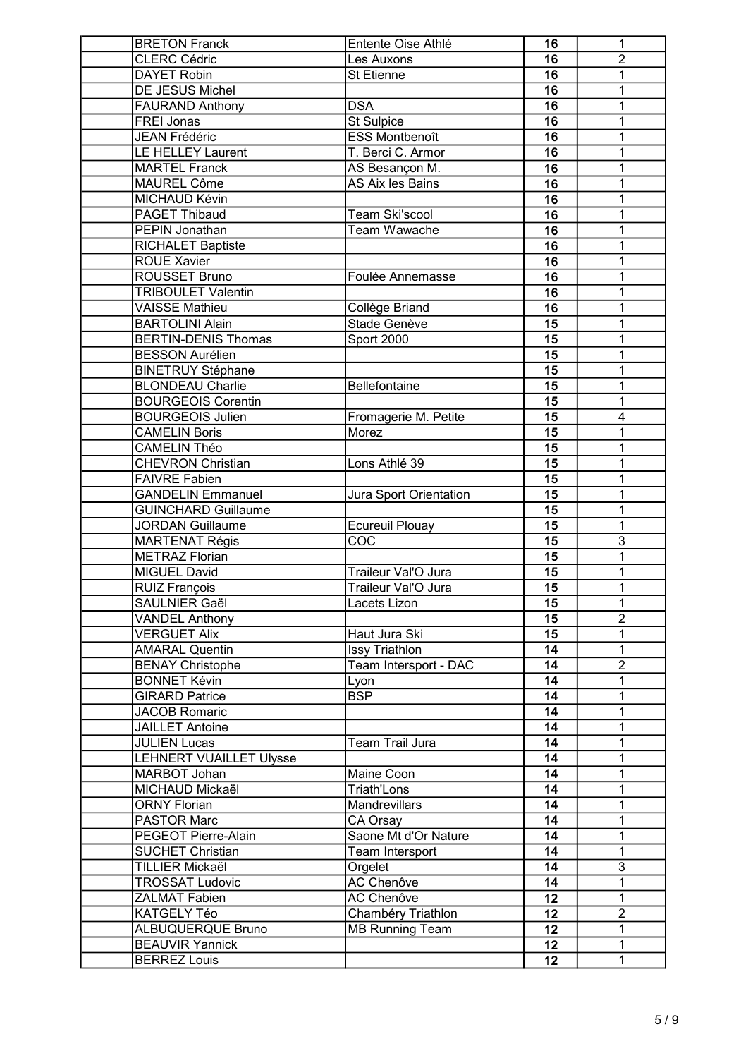| <b>BRETON Franck</b>           | Entente Oise Athlé      | 16              | 1              |
|--------------------------------|-------------------------|-----------------|----------------|
| <b>CLERC Cédric</b>            | Les Auxons              | 16              | $\overline{2}$ |
| <b>DAYET Robin</b>             | St Etienne              | 16              | 1              |
| DE JESUS Michel                |                         | 16              | 1              |
| <b>FAURAND Anthony</b>         | <b>DSA</b>              | 16              | 1              |
| FREI Jonas                     | <b>St Sulpice</b>       | 16              | 1              |
| <b>JEAN Frédéric</b>           | <b>ESS Montbenoît</b>   | 16              | 1              |
| <b>LE HELLEY Laurent</b>       | T. Berci C. Armor       | 16              | 1              |
| <b>MARTEL Franck</b>           | AS Besançon M.          | 16              | 1              |
| MAUREL Côme                    | AS Aix les Bains        | 16              | 1              |
| MICHAUD Kévin                  |                         | 16              | 1              |
| PAGET Thibaud                  | <b>Team Ski'scool</b>   | 16              | 1              |
| <b>PEPIN Jonathan</b>          | Team Wawache            | 16              | 1              |
| <b>RICHALET Baptiste</b>       |                         | 16              | 1              |
| <b>ROUE Xavier</b>             |                         | 16              | 1              |
| <b>ROUSSET Bruno</b>           | Foulée Annemasse        | 16              | 1              |
| <b>TRIBOULET Valentin</b>      |                         | 16              |                |
|                                |                         |                 | 1              |
| <b>VAISSE Mathieu</b>          | Collège Briand          | 16              | 1              |
| <b>BARTOLINI Alain</b>         | Stade Genève            | 15              | 1              |
| <b>BERTIN-DENIS Thomas</b>     | <b>Sport 2000</b>       | 15              | 1              |
| <b>BESSON Aurélien</b>         |                         | 15              | 1              |
| <b>BINETRUY Stéphane</b>       |                         | 15              | 1              |
| <b>BLONDEAU Charlie</b>        | Bellefontaine           | 15              | 1              |
| <b>BOURGEOIS Corentin</b>      |                         | 15              | 1              |
| <b>BOURGEOIS Julien</b>        | Fromagerie M. Petite    | 15              | 4              |
| <b>CAMELIN Boris</b>           | Morez                   | 15              | 1              |
| <b>CAMELIN Théo</b>            |                         | 15              | 1              |
| <b>CHEVRON Christian</b>       | Lons Athlé 39           | 15              | 1              |
| <b>FAIVRE Fabien</b>           |                         | 15              | 1              |
| <b>GANDELIN Emmanuel</b>       | Jura Sport Orientation  | 15              | 1              |
| <b>GUINCHARD Guillaume</b>     |                         | 15              | 1              |
| <b>JORDAN Guillaume</b>        | <b>Ecureuil Plouay</b>  | 15              | 1              |
| <b>MARTENAT Régis</b>          | COC                     | 15              | $\overline{3}$ |
| <b>METRAZ Florian</b>          |                         | 15              | 1              |
| <b>MIGUEL David</b>            | Traileur Val'O Jura     | 15              | 1              |
| <b>RUIZ François</b>           | Traileur Val'O Jura     | 15              | 1              |
| SAULNIER Gaël                  | Lacets Lizon            | 15              | 1              |
| <b>VANDEL Anthony</b>          |                         | 15              | $\overline{2}$ |
| <b>VERGUET Alix</b>            | Haut Jura Ski           | 15 <sub>1</sub> | 1              |
| <b>AMARAL Quentin</b>          | Issy Triathlon          | 14              | 1              |
| <b>BENAY Christophe</b>        | Team Intersport - DAC   | 14              | $\overline{2}$ |
| <b>BONNET Kévin</b>            | Lyon                    | 14              | 1              |
| <b>GIRARD Patrice</b>          | $\overline{\text{BSP}}$ | 14              | 1              |
| <b>JACOB Romaric</b>           |                         | 14              | 1              |
| <b>JAILLET Antoine</b>         |                         | 14              | 1              |
| <b>JULIEN Lucas</b>            | Team Trail Jura         | 14              | 1              |
| <b>LEHNERT VUAILLET Ulysse</b> |                         | 14              | 1              |
| MARBOT Johan                   | Maine Coon              | 14              | 1              |
| MICHAUD Mickaël                | Triath'Lons             | 14              | 1              |
| <b>ORNY Florian</b>            | <b>Mandrevillars</b>    | 14              | 1              |
| PASTOR Marc                    | CA Orsay                | 14              | 1              |
| PEGEOT Pierre-Alain            | Saone Mt d'Or Nature    | 14              | 1              |
| <b>SUCHET Christian</b>        | Team Intersport         | 14              | 1              |
| <b>TILLIER Mickaël</b>         | Orgelet                 | 14              | $\overline{3}$ |
|                                | <b>AC Chenôve</b>       |                 |                |
| <b>TROSSAT Ludovic</b>         |                         | 14              | 1              |
| <b>ZALMAT Fabien</b>           | AC Chenôve              | 12              | 1              |
| KATGELY Téo                    | Chambéry Triathlon      | 12              | $\overline{2}$ |
| ALBUQUERQUE Bruno              | <b>MB</b> Running Team  | 12              | 1              |
| <b>BEAUVIR Yannick</b>         |                         | 12              | 1              |
| <b>BERREZ Louis</b>            |                         | 12              | 1              |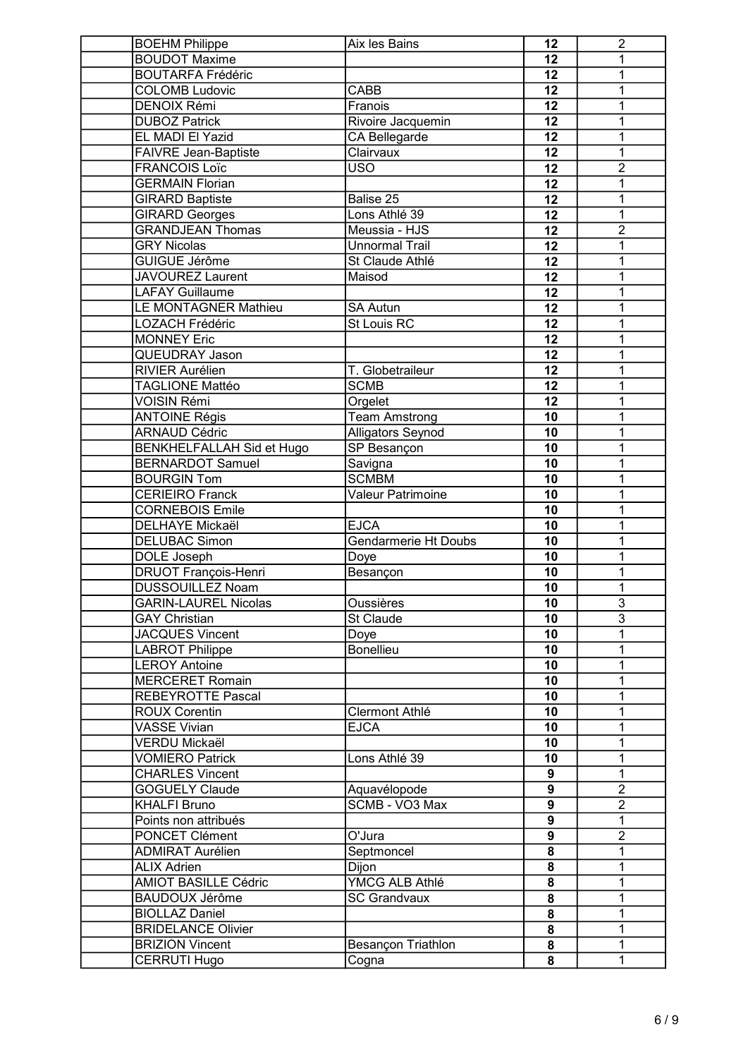| <b>BOEHM Philippe</b>                | Aix les Bains               | 12                      | $\boldsymbol{2}$ |
|--------------------------------------|-----------------------------|-------------------------|------------------|
| <b>BOUDOT Maxime</b>                 |                             | 12                      | 1                |
| <b>BOUTARFA Frédéric</b>             |                             | 12                      | 1                |
| <b>COLOMB Ludovic</b>                | <b>CABB</b>                 | 12                      | 1                |
| <b>DENOIX Rémi</b>                   | Franois                     | 12                      | 1                |
| <b>DUBOZ Patrick</b>                 | Rivoire Jacquemin           | 12                      | 1                |
| EL MADI El Yazid                     | CA Bellegarde               | 12                      | 1                |
| <b>FAIVRE Jean-Baptiste</b>          | Clairvaux                   | 12                      | 1                |
| <b>FRANCOIS Loïc</b>                 | <b>USO</b>                  | 12                      | $\overline{2}$   |
| <b>GERMAIN Florian</b>               |                             | 12                      | 1                |
| <b>GIRARD Baptiste</b>               | Balise 25                   | 12                      | 1                |
| <b>GIRARD Georges</b>                | Lons Athlé 39               | 12                      | 1                |
| <b>GRANDJEAN Thomas</b>              | Meussia - HJS               | 12                      | $\overline{2}$   |
| <b>GRY Nicolas</b>                   | <b>Unnormal Trail</b>       | 12                      | 1                |
| <b>GUIGUE Jérôme</b>                 | St Claude Athlé             | 12                      | $\mathbf{1}$     |
| <b>JAVOUREZ Laurent</b>              | Maisod                      | 12                      | $\mathbf{1}$     |
| <b>LAFAY Guillaume</b>               |                             | 12                      | 1                |
| LE MONTAGNER Mathieu                 | <b>SA Autun</b>             | 12                      | 1                |
| <b>LOZACH Frédéric</b>               | <b>St Louis RC</b>          | 12                      | 1                |
|                                      |                             |                         | 1                |
| <b>MONNEY Eric</b><br>QUEUDRAY Jason |                             | 12                      | 1                |
|                                      | T. Globetraileur            | 12                      |                  |
| <b>RIVIER Aurélien</b>               |                             | 12                      | 1                |
| <b>TAGLIONE Mattéo</b>               | <b>SCMB</b>                 | 12                      | $\mathbf{1}$     |
| <b>VOISIN Rémi</b>                   | Orgelet                     | 12                      | 1                |
| <b>ANTOINE Régis</b>                 | <b>Team Amstrong</b>        | 10                      | 1                |
| <b>ARNAUD Cédric</b>                 | Alligators Seynod           | 10                      | 1                |
| <b>BENKHELFALLAH Sid et Hugo</b>     | <b>SP Besançon</b>          | 10                      | $\mathbf{1}$     |
| <b>BERNARDOT Samuel</b>              | Savigna                     | 10                      | 1                |
| <b>BOURGIN Tom</b>                   | <b>SCMBM</b>                | 10                      | $\mathbf{1}$     |
| <b>CERIEIRO Franck</b>               | <b>Valeur Patrimoine</b>    | 10                      | 1                |
| <b>CORNEBOIS Emile</b>               |                             | 10                      | $\overline{1}$   |
| <b>DELHAYE Mickaël</b>               | <b>EJCA</b>                 | 10                      | $\mathbf{1}$     |
| <b>DELUBAC Simon</b>                 | <b>Gendarmerie Ht Doubs</b> | 10                      | 1                |
| DOLE Joseph                          | Doye                        | 10                      | 1                |
| <b>DRUOT François-Henri</b>          | Besançon                    | 10                      | 1                |
| <b>DUSSOUILLEZ Noam</b>              |                             | 10                      | 1                |
| <b>GARIN-LAUREL Nicolas</b>          | Oussières                   | 10                      | 3                |
| <b>GAY Christian</b>                 | St Claude                   | 10                      | $\overline{3}$   |
| <b>JACQUES Vincent</b>               | Doye                        | 10                      | 1                |
| <b>LABROT Philippe</b>               | <b>Bonellieu</b>            | 10                      | 1                |
| <b>LEROY Antoine</b>                 |                             | 10                      | 1                |
| <b>MERCERET Romain</b>               |                             | 10                      | 1                |
| <b>REBEYROTTE Pascal</b>             |                             | 10                      | 1                |
| <b>ROUX Corentin</b>                 | Clermont Athlé              | 10                      | 1                |
| <b>VASSE Vivian</b>                  | <b>EJCA</b>                 | 10                      | 1                |
| <b>VERDU Mickaël</b>                 |                             | 10                      | 1                |
| <b>VOMIERO Patrick</b>               | Lons Athlé 39               | 10                      | 1                |
| <b>CHARLES Vincent</b>               |                             | 9                       | $\overline{1}$   |
| <b>GOGUELY Claude</b>                | Aquavélopode                | $\overline{9}$          | $\overline{2}$   |
| <b>KHALFI Bruno</b>                  | SCMB - VO3 Max              | 9                       | $\overline{2}$   |
| Points non attribués                 |                             | $\boldsymbol{9}$        | $\overline{1}$   |
| PONCET Clément                       | O'Jura                      | $\overline{9}$          | $\overline{2}$   |
| <b>ADMIRAT Aurélien</b>              | Septmoncel                  | 8                       | 1                |
| <b>ALIX Adrien</b>                   | Dijon                       | 8                       | 1                |
| <b>AMIOT BASILLE Cédric</b>          | YMCG ALB Athlé              | 8                       | 1                |
| <b>BAUDOUX Jérôme</b>                | <b>SC Grandvaux</b>         | $\overline{\mathbf{8}}$ | $\mathbf{1}$     |
| <b>BIOLLAZ Daniel</b>                |                             | 8                       | 1                |
| <b>BRIDELANCE Olivier</b>            |                             | 8                       | 1                |
| <b>BRIZION Vincent</b>               | Besançon Triathlon          | 8                       | 1                |
| CERRUTI Hugo                         | Cogna                       | 8                       | $\mathbf{1}$     |
|                                      |                             |                         |                  |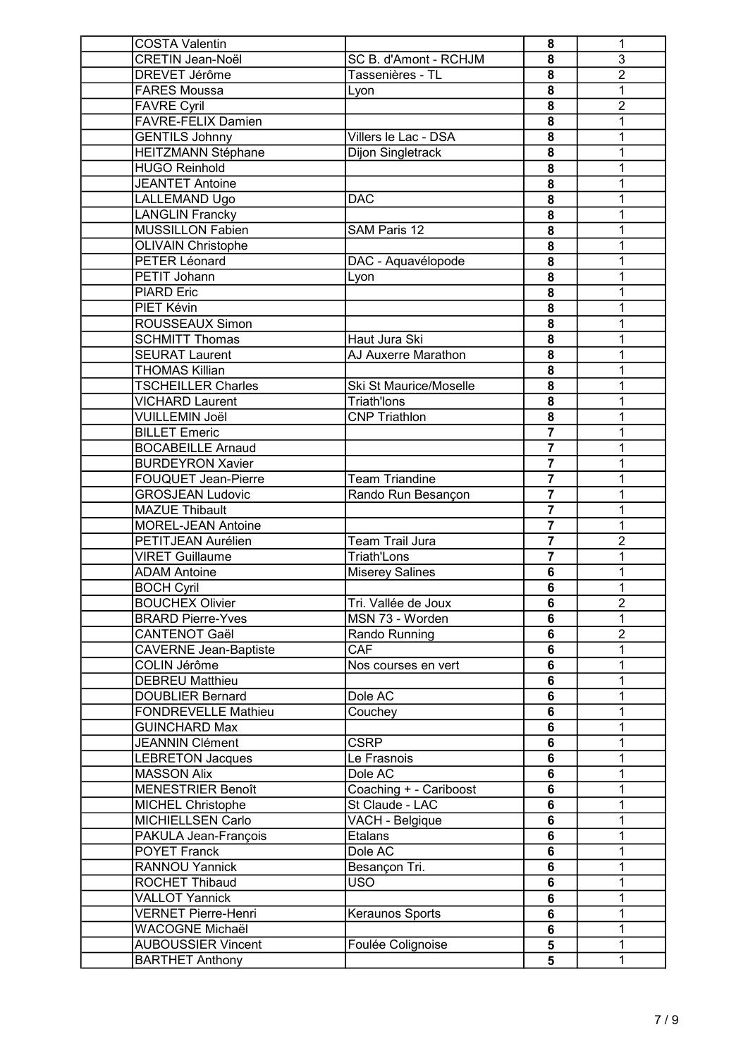| <b>COSTA Valentin</b>                          |                                      | 8                       | 1              |
|------------------------------------------------|--------------------------------------|-------------------------|----------------|
| <b>CRETIN Jean-Noël</b>                        | SC B. d'Amont - RCHJM                | 8                       | $\overline{3}$ |
| <b>DREVET Jérôme</b>                           | Tassenières - TL                     | 8                       | $\overline{2}$ |
| <b>FARES Moussa</b>                            | Lyon                                 | 8                       | 1              |
| <b>FAVRE Cyril</b>                             |                                      | 8                       | $\overline{2}$ |
| <b>FAVRE-FELIX Damien</b>                      |                                      | 8                       | 1              |
| <b>GENTILS Johnny</b>                          | Villers le Lac - DSA                 | 8                       | 1              |
| <b>HEITZMANN Stéphane</b>                      | Dijon Singletrack                    | 8                       | 1              |
| <b>HUGO Reinhold</b>                           |                                      | 8                       | 1              |
| <b>JEANTET Antoine</b>                         |                                      | 8                       | 1              |
| LALLEMAND Ugo                                  | <b>DAC</b>                           | 8                       | 1              |
| <b>LANGLIN Francky</b>                         |                                      | 8                       | 1              |
| <b>MUSSILLON Fabien</b>                        | SAM Paris 12                         | 8                       | 1              |
| <b>OLIVAIN Christophe</b>                      |                                      | $\overline{\mathbf{8}}$ | $\mathbf{1}$   |
| PETER Léonard                                  | DAC - Aquavélopode                   | 8                       | 1              |
| PETIT Johann                                   |                                      | 8                       | 1              |
| <b>PIARD Eric</b>                              | Lyon                                 | 8                       | 1              |
| PIET Kévin                                     |                                      |                         | 1              |
|                                                |                                      | 8                       |                |
| ROUSSEAUX Simon                                |                                      | 8                       | 1              |
| <b>SCHMITT Thomas</b><br><b>SEURAT Laurent</b> | Haut Jura Ski<br>AJ Auxerre Marathon | 8                       | 1              |
|                                                |                                      | 8                       | 1              |
| <b>THOMAS Killian</b>                          |                                      | 8                       | $\mathbf{1}$   |
| <b>TSCHEILLER Charles</b>                      | Ski St Maurice/Moselle               | 8                       | 1              |
| <b>VICHARD Laurent</b>                         | <b>Triath'lons</b>                   | 8                       | 1              |
| <b>VUILLEMIN Joël</b>                          | <b>CNP Triathlon</b>                 | 8                       | 1              |
| <b>BILLET Emeric</b>                           |                                      | $\overline{7}$          | 1              |
| <b>BOCABEILLE Arnaud</b>                       |                                      | $\overline{\mathbf{7}}$ | 1              |
| <b>BURDEYRON Xavier</b>                        |                                      | $\overline{7}$          | 1              |
| <b>FOUQUET Jean-Pierre</b>                     | <b>Team Triandine</b>                | $\overline{7}$          | 1              |
| <b>GROSJEAN Ludovic</b>                        | Rando Run Besançon                   | $\overline{\mathbf{z}}$ | $\overline{1}$ |
| <b>MAZUE Thibault</b>                          |                                      | $\overline{\mathbf{7}}$ | 1              |
| <b>MOREL-JEAN Antoine</b>                      |                                      | $\overline{\mathbf{7}}$ | 1              |
| PETITJEAN Aurélien                             | Team Trail Jura                      | $\overline{\mathbf{z}}$ | $\overline{2}$ |
| <b>VIRET Guillaume</b>                         | <b>Triath'Lons</b>                   | $\overline{7}$          | 1              |
| <b>ADAM Antoine</b>                            | <b>Miserey Salines</b>               | 6                       | 1              |
| <b>BOCH Cyril</b>                              |                                      | $6\phantom{1}$          | 1              |
| <b>BOUCHEX Olivier</b>                         | Tri. Vallée de Joux                  | 6                       | 2              |
| <b>BRARD Pierre-Yves</b>                       | MSN 73 - Worden                      | $6\phantom{1}$          | 1              |
| <b>CANTENOT Gaël</b>                           | Rando Running                        | $6\phantom{a}$          | $\overline{2}$ |
| <b>CAVERNE Jean-Baptiste</b>                   | <b>CAF</b>                           | 6                       | 1              |
| COLIN Jérôme                                   | Nos courses en vert                  | $6\phantom{1}$          | 1              |
| <b>DEBREU Matthieu</b>                         |                                      | 6                       | 1              |
| <b>DOUBLIER Bernard</b>                        | Dole AC                              | $6\phantom{1}$          | 1              |
| <b>FONDREVELLE Mathieu</b>                     | Couchey                              | 6                       | 1              |
| <b>GUINCHARD Max</b>                           |                                      | $6\phantom{1}$          | 1              |
| <b>JEANNIN Clément</b>                         | <b>CSRP</b>                          | 6                       | 1              |
| <b>LEBRETON Jacques</b>                        | Le Frasnois                          | $\overline{6}$          | 1              |
| <b>MASSON Alix</b>                             | Dole AC                              | $\overline{6}$          | 1              |
| <b>MENESTRIER Benoît</b>                       | Coaching + - Cariboost               | $\overline{6}$          | 1              |
| <b>MICHEL Christophe</b>                       | St Claude - LAC                      | 6                       | 1              |
| MICHIELLSEN Carlo                              | VACH - Belgique                      | 6                       | 1              |
| PAKULA Jean-François                           | Etalans                              | $6\phantom{a}$          | 1              |
| <b>POYET Franck</b>                            | Dole AC                              | 6                       | 1              |
| <b>RANNOU Yannick</b>                          | Besançon Tri.                        | 6                       | 1              |
| ROCHET Thibaud                                 | <b>USO</b>                           | $\overline{6}$          | 1              |
| <b>VALLOT Yannick</b>                          |                                      | 6                       | 1              |
| <b>VERNET Pierre-Henri</b>                     | Keraunos Sports                      | $6\phantom{1}$          | 1              |
| WACOGNE Michaël                                |                                      | 6                       | 1              |
| <b>AUBOUSSIER Vincent</b>                      | Foulée Colignoise                    | $\overline{\mathbf{5}}$ | 1              |
| <b>BARTHET Anthony</b>                         |                                      | 5                       | $\mathbf{1}$   |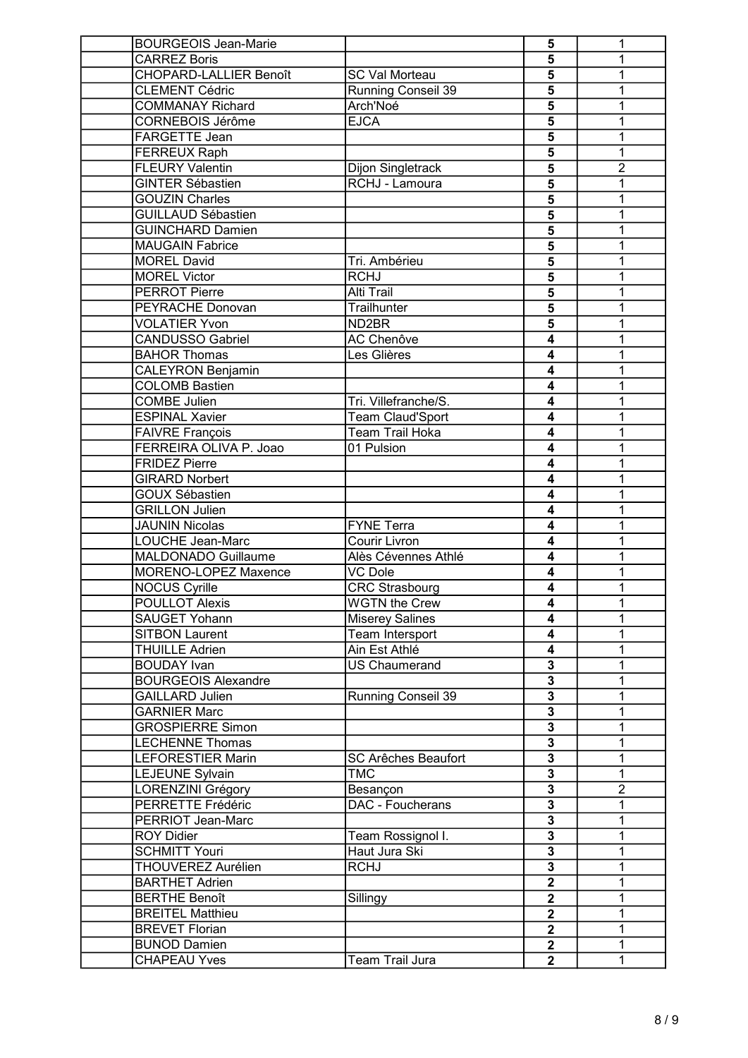| <b>BOURGEOIS Jean-Marie</b>   |                            | 5                         | 1              |
|-------------------------------|----------------------------|---------------------------|----------------|
| <b>CARREZ Boris</b>           |                            | 5                         | 1              |
| <b>CHOPARD-LALLIER Benoît</b> | <b>SC Val Morteau</b>      | $\overline{\mathbf{5}}$   | 1              |
| <b>CLEMENT Cédric</b>         | Running Conseil 39         | 5                         | 1              |
| <b>COMMANAY Richard</b>       | Arch'Noé                   | 5                         | 1              |
| CORNEBOIS Jérôme              | <b>EJCA</b>                | 5                         | 1              |
| FARGETTE Jean                 |                            | 5                         | 1              |
| FERREUX Raph                  |                            | 5                         | 1              |
| <b>FLEURY Valentin</b>        | Dijon Singletrack          | 5                         | $\overline{2}$ |
| <b>GINTER Sébastien</b>       | RCHJ - Lamoura             | 5                         | 1              |
| <b>GOUZIN Charles</b>         |                            | 5                         | 1              |
| <b>GUILLAUD Sébastien</b>     |                            | 5                         | 1              |
| <b>GUINCHARD Damien</b>       |                            | 5                         | 1              |
| <b>MAUGAIN Fabrice</b>        |                            | $\overline{\mathbf{5}}$   | 1              |
| <b>MOREL David</b>            | Tri. Ambérieu              | $\overline{5}$            | 1              |
| <b>MOREL Victor</b>           | <b>RCHJ</b>                | $\overline{5}$            | 1              |
|                               |                            |                           |                |
| <b>PERROT Pierre</b>          | Alti Trail                 | 5                         | 1              |
| PEYRACHE Donovan              | Trailhunter                | $\overline{5}$            | 1              |
| <b>VOLATIER Yvon</b>          | ND <sub>2</sub> BR         | $\overline{\mathbf{5}}$   | 1              |
| <b>CANDUSSO Gabriel</b>       | AC Chenôve                 | 4                         | 1              |
| <b>BAHOR Thomas</b>           | Les Glières                | 4                         | 1              |
| <b>CALEYRON Benjamin</b>      |                            | 4                         | 1              |
| <b>COLOMB Bastien</b>         |                            | 4                         | 1              |
| <b>COMBE Julien</b>           | Tri. Villefranche/S.       | 4                         | 1              |
| <b>ESPINAL Xavier</b>         | <b>Team Claud'Sport</b>    | 4                         | 1              |
| <b>FAIVRE François</b>        | <b>Team Trail Hoka</b>     | 4                         | 1              |
| FERREIRA OLIVA P. Joao        | 01 Pulsion                 | 4                         | 1              |
| <b>FRIDEZ Pierre</b>          |                            | 4                         | 1              |
| <b>GIRARD Norbert</b>         |                            | 4                         | 1              |
| <b>GOUX Sébastien</b>         |                            | 4                         | 1              |
| <b>GRILLON Julien</b>         |                            | 4                         | 1              |
| <b>JAUNIN Nicolas</b>         | <b>FYNE Terra</b>          | 4                         | 1              |
| LOUCHE Jean-Marc              | Courir Livron              | 4                         | 1              |
| MALDONADO Guillaume           | Alès Cévennes Athlé        | $\overline{\mathbf{4}}$   | 1              |
| MORENO-LOPEZ Maxence          | <b>VC Dole</b>             | 4                         | 1              |
| <b>NOCUS Cyrille</b>          | <b>CRC Strasbourg</b>      | 4                         | 1              |
| <b>POULLOT Alexis</b>         | <b>WGTN the Crew</b>       | 4                         | 1              |
| <b>SAUGET Yohann</b>          | <b>Miserey Salines</b>     | 4                         | 1              |
| <b>SITBON Laurent</b>         | Team Intersport            | 4                         | 1              |
| <b>THUILLE Adrien</b>         | Ain Est Athlé              | 4                         | 1              |
| <b>BOUDAY</b> Ivan            | <b>US Chaumerand</b>       | 3                         | 1              |
| <b>BOURGEOIS Alexandre</b>    |                            | 3                         | 1              |
| <b>GAILLARD Julien</b>        | Running Conseil 39         | 3                         | 1              |
| <b>GARNIER Marc</b>           |                            | $\overline{\mathbf{3}}$   | 1              |
| <b>GROSPIERRE Simon</b>       |                            | $\overline{\mathbf{3}}$   | 1              |
| <b>LECHENNE Thomas</b>        |                            | $\overline{\mathbf{3}}$   | 1              |
| <b>LEFORESTIER Marin</b>      | <b>SC Arêches Beaufort</b> | $\overline{\overline{3}}$ | 1              |
| <b>LEJEUNE Sylvain</b>        | <b>TMC</b>                 | $\overline{\overline{3}}$ | 1              |
| <b>LORENZINI Grégory</b>      | Besançon                   | $\overline{\mathbf{3}}$   | $\overline{2}$ |
| PERRETTE Frédéric             | DAC - Foucherans           | $\overline{\mathbf{3}}$   | 1              |
| PERRIOT Jean-Marc             |                            | $\overline{\mathbf{3}}$   | 1              |
| <b>ROY Didier</b>             | Team Rossignol I.          | $\overline{\mathbf{3}}$   | 1              |
| <b>SCHMITT Youri</b>          | Haut Jura Ski              | $\overline{\overline{3}}$ | 1              |
| <b>THOUVEREZ Aurélien</b>     | <b>RCHJ</b>                | $\overline{\mathbf{3}}$   | 1              |
| <b>BARTHET Adrien</b>         |                            | $\overline{2}$            | 1              |
| <b>BERTHE Benoît</b>          | Sillingy                   | $\overline{2}$            | 1              |
| <b>BREITEL Matthieu</b>       |                            | $\mathbf 2$               | 1              |
| <b>BREVET Florian</b>         |                            | $\mathbf 2$               | 1              |
| <b>BUNOD Damien</b>           |                            | $\mathbf 2$               | 1              |
| <b>CHAPEAU Yves</b>           | Team Trail Jura            | $\mathbf{2}$              |                |
|                               |                            |                           | 1              |